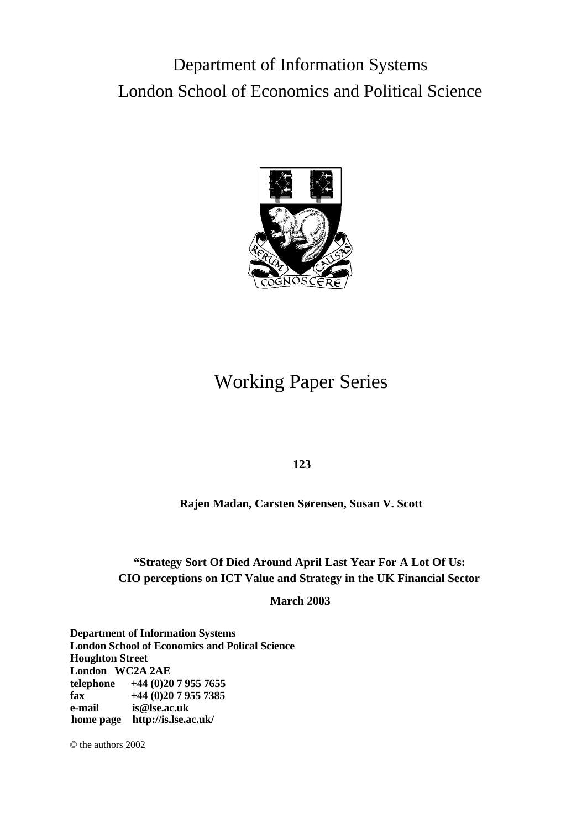# Department of Information Systems London School of Economics and Political Science



# Working Paper Series

**123**

**Rajen Madan, Carsten Sørensen, Susan V. Scott**

### **"Strategy Sort Of Died Around April Last Year For A Lot Of Us: CIO perceptions on ICT Value and Strategy in the UK Financial Sector**

**March 2003**

**Department of Information Systems London School of Economics and Polical Science Houghton Street London WC2A 2AE telephone +44 (0)20 7 955 7655 fax +44 (0)20 7 955 7385 e-mail [is@lse.ac.uk](mailto:is.lse.ac.uk) home page <http://is.lse.ac.uk/>**

© the authors 2002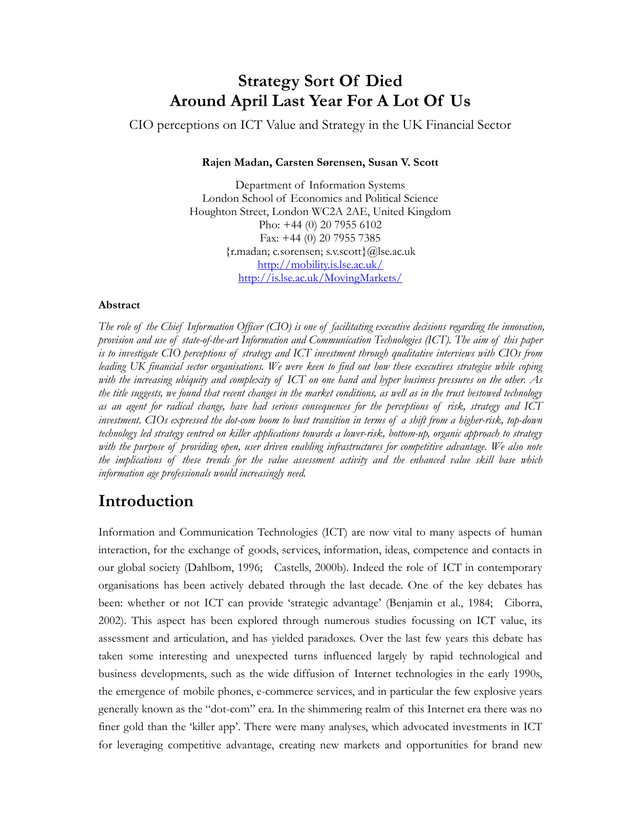## **Strategy Sort Of Died Around April Last Year For A Lot Of Us**

CIO perceptions on ICT Value and Strategy in the UK Financial Sector

#### **Rajen Madan, Carsten Sørensen, Susan V. Scott**

Department of Information Systems London School of Economics and Political Science Houghton Street, London WC2A 2AE, United Kingdom Pho: +44 (0) 20 7955 6102 Fax: +44 (0) 20 7955 7385 {r.madan; c.sorensen; s.v.scott}@lse.ac.uk http://mobility.is.lse.ac.uk/ http://is.lse.ac.uk/MovingMarkets/

#### **Abstract**

*The role of the Chief Information Officer (CIO) is one of facilitating executive decisions regarding the innovation, provision and use of state-of-the-art Information and Communication Technologies (ICT). The aim of this paper is to investigate CIO perceptions of strategy and ICT investment through qualitative interviews with CIOs from leading UK financial sector organisations. We were keen to find out how these executives strategise while coping with the increasing ubiquity and complexity of ICT on one hand and hyper business pressures on the other. As the title suggests, we found that recent changes in the market conditions, as well as in the trust bestowed technology as an agent for radical change, have had serious consequences for the perceptions of risk, strategy and ICT investment. CIOs expressed the dot-com boom to bust transition in terms of a shift from a higher-risk, top-down technology led strategy centred on killer applications towards a lower-risk, bottom-up, organic approach to strategy*  with the purpose of providing open, user driven enabling infrastructures for competitive advantage. We also note *the implications of these trends for the value assessment activity and the enhanced value skill base which information age professionals would increasingly need.* 

### **Introduction**

Information and Communication Technologies (ICT) are now vital to many aspects of human interaction, for the exchange of goods, services, information, ideas, competence and contacts in our global society (Dahlbom, 1996; Castells, 2000b). Indeed the role of ICT in contemporary organisations has been actively debated through the last decade. One of the key debates has been: whether or not ICT can provide 'strategic advantage' (Benjamin et al., 1984; Ciborra, 2002). This aspect has been explored through numerous studies focussing on ICT value, its assessment and articulation, and has yielded paradoxes. Over the last few years this debate has taken some interesting and unexpected turns influenced largely by rapid technological and business developments, such as the wide diffusion of Internet technologies in the early 1990s, the emergence of mobile phones, e-commerce services, and in particular the few explosive years generally known as the "dot-com" era. In the shimmering realm of this Internet era there was no finer gold than the 'killer app'. There were many analyses, which advocated investments in ICT for leveraging competitive advantage, creating new markets and opportunities for brand new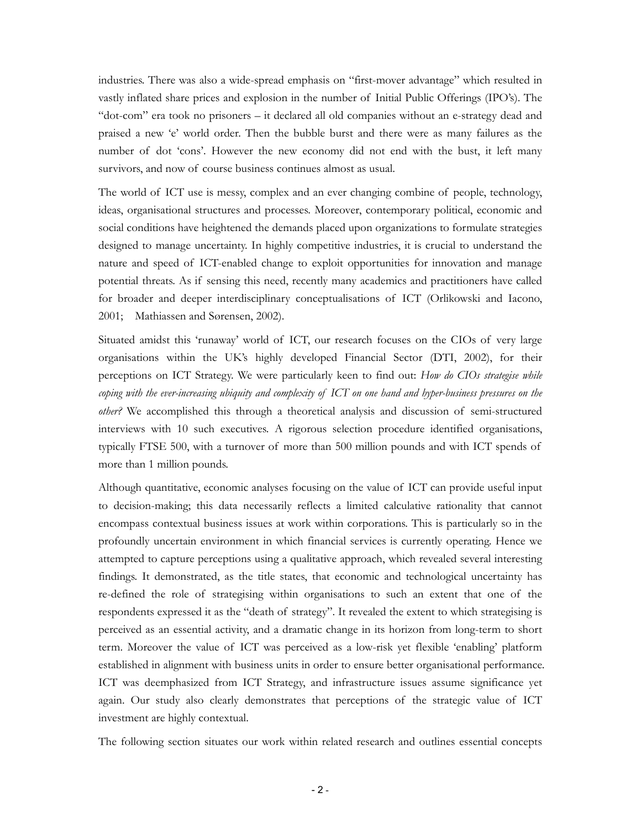industries. There was also a wide-spread emphasis on "first-mover advantage" which resulted in vastly inflated share prices and explosion in the number of Initial Public Offerings (IPO's). The "dot-com" era took no prisoners – it declared all old companies without an e-strategy dead and praised a new 'e' world order. Then the bubble burst and there were as many failures as the number of dot 'cons'. However the new economy did not end with the bust, it left many survivors, and now of course business continues almost as usual.

The world of ICT use is messy, complex and an ever changing combine of people, technology, ideas, organisational structures and processes. Moreover, contemporary political, economic and social conditions have heightened the demands placed upon organizations to formulate strategies designed to manage uncertainty. In highly competitive industries, it is crucial to understand the nature and speed of ICT-enabled change to exploit opportunities for innovation and manage potential threats. As if sensing this need, recently many academics and practitioners have called for broader and deeper interdisciplinary conceptualisations of ICT (Orlikowski and Iacono, 2001; Mathiassen and Sørensen, 2002).

Situated amidst this 'runaway' world of ICT, our research focuses on the CIOs of very large organisations within the UK's highly developed Financial Sector (DTI, 2002), for their perceptions on ICT Strategy. We were particularly keen to find out: *How do CIOs strategise while coping with the ever-increasing ubiquity and complexity of ICT on one hand and hyper-business pressures on the other?* We accomplished this through a theoretical analysis and discussion of semi-structured interviews with 10 such executives. A rigorous selection procedure identified organisations, typically FTSE 500, with a turnover of more than 500 million pounds and with ICT spends of more than 1 million pounds.

Although quantitative, economic analyses focusing on the value of ICT can provide useful input to decision-making; this data necessarily reflects a limited calculative rationality that cannot encompass contextual business issues at work within corporations. This is particularly so in the profoundly uncertain environment in which financial services is currently operating. Hence we attempted to capture perceptions using a qualitative approach, which revealed several interesting findings. It demonstrated, as the title states, that economic and technological uncertainty has re-defined the role of strategising within organisations to such an extent that one of the respondents expressed it as the "death of strategy". It revealed the extent to which strategising is perceived as an essential activity, and a dramatic change in its horizon from long-term to short term. Moreover the value of ICT was perceived as a low-risk yet flexible 'enabling' platform established in alignment with business units in order to ensure better organisational performance. ICT was deemphasized from ICT Strategy, and infrastructure issues assume significance yet again. Our study also clearly demonstrates that perceptions of the strategic value of ICT investment are highly contextual.

The following section situates our work within related research and outlines essential concepts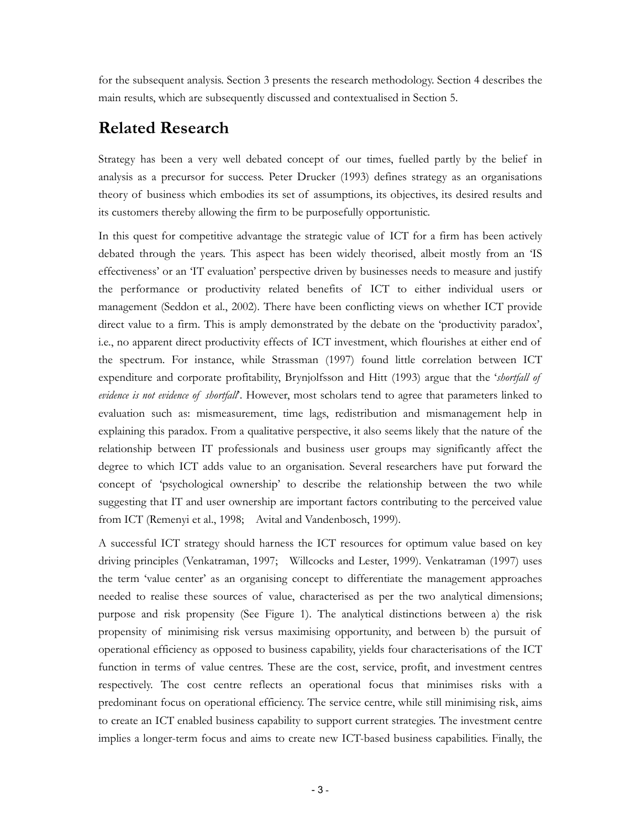for the subsequent analysis. Section 3 presents the research methodology. Section 4 describes the main results, which are subsequently discussed and contextualised in Section 5.

## **Related Research**

Strategy has been a very well debated concept of our times, fuelled partly by the belief in analysis as a precursor for success. Peter Drucker (1993) defines strategy as an organisations theory of business which embodies its set of assumptions, its objectives, its desired results and its customers thereby allowing the firm to be purposefully opportunistic.

In this quest for competitive advantage the strategic value of ICT for a firm has been actively debated through the years. This aspect has been widely theorised, albeit mostly from an 'IS effectiveness' or an 'IT evaluation' perspective driven by businesses needs to measure and justify the performance or productivity related benefits of ICT to either individual users or management (Seddon et al., 2002). There have been conflicting views on whether ICT provide direct value to a firm. This is amply demonstrated by the debate on the 'productivity paradox', i.e., no apparent direct productivity effects of ICT investment, which flourishes at either end of the spectrum. For instance, while Strassman (1997) found little correlation between ICT expenditure and corporate profitability, Brynjolfsson and Hitt (1993) argue that the '*shortfall of evidence is not evidence of shortfall*'. However, most scholars tend to agree that parameters linked to evaluation such as: mismeasurement, time lags, redistribution and mismanagement help in explaining this paradox. From a qualitative perspective, it also seems likely that the nature of the relationship between IT professionals and business user groups may significantly affect the degree to which ICT adds value to an organisation. Several researchers have put forward the concept of 'psychological ownership' to describe the relationship between the two while suggesting that IT and user ownership are important factors contributing to the perceived value from ICT (Remenyi et al., 1998; Avital and Vandenbosch, 1999).

A successful ICT strategy should harness the ICT resources for optimum value based on key driving principles (Venkatraman, 1997; Willcocks and Lester, 1999). Venkatraman (1997) uses the term 'value center' as an organising concept to differentiate the management approaches needed to realise these sources of value, characterised as per the two analytical dimensions; purpose and risk propensity (See Figure 1). The analytical distinctions between a) the risk propensity of minimising risk versus maximising opportunity, and between b) the pursuit of operational efficiency as opposed to business capability, yields four characterisations of the ICT function in terms of value centres. These are the cost, service, profit, and investment centres respectively. The cost centre reflects an operational focus that minimises risks with a predominant focus on operational efficiency. The service centre, while still minimising risk, aims to create an ICT enabled business capability to support current strategies. The investment centre implies a longer-term focus and aims to create new ICT-based business capabilities. Finally, the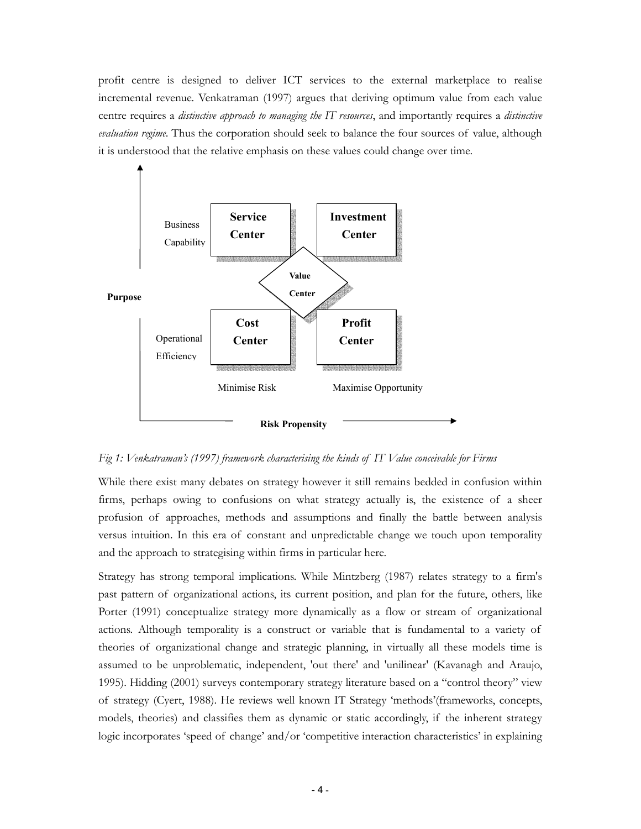profit centre is designed to deliver ICT services to the external marketplace to realise incremental revenue. Venkatraman (1997) argues that deriving optimum value from each value centre requires a *distinctive approach to managing the IT resources*, and importantly requires a *distinctive evaluation regime*. Thus the corporation should seek to balance the four sources of value, although it is understood that the relative emphasis on these values could change over time.



*Fig 1: Venkatraman's (1997) framework characterising the kinds of IT Value conceivable for Firms* 

While there exist many debates on strategy however it still remains bedded in confusion within firms, perhaps owing to confusions on what strategy actually is, the existence of a sheer profusion of approaches, methods and assumptions and finally the battle between analysis versus intuition. In this era of constant and unpredictable change we touch upon temporality and the approach to strategising within firms in particular here.

Strategy has strong temporal implications. While Mintzberg (1987) relates strategy to a firm's past pattern of organizational actions, its current position, and plan for the future, others, like Porter (1991) conceptualize strategy more dynamically as a flow or stream of organizational actions. Although temporality is a construct or variable that is fundamental to a variety of theories of organizational change and strategic planning, in virtually all these models time is assumed to be unproblematic, independent, 'out there' and 'unilinear' (Kavanagh and Araujo, 1995). Hidding (2001) surveys contemporary strategy literature based on a "control theory" view of strategy (Cyert, 1988). He reviews well known IT Strategy 'methods'(frameworks, concepts, models, theories) and classifies them as dynamic or static accordingly, if the inherent strategy logic incorporates 'speed of change' and/or 'competitive interaction characteristics' in explaining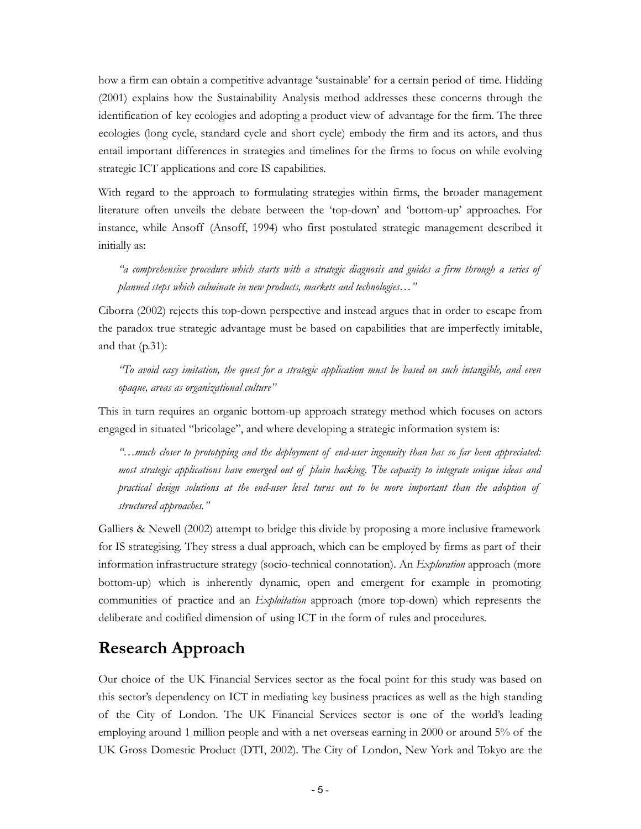how a firm can obtain a competitive advantage 'sustainable' for a certain period of time. Hidding (2001) explains how the Sustainability Analysis method addresses these concerns through the identification of key ecologies and adopting a product view of advantage for the firm. The three ecologies (long cycle, standard cycle and short cycle) embody the firm and its actors, and thus entail important differences in strategies and timelines for the firms to focus on while evolving strategic ICT applications and core IS capabilities.

With regard to the approach to formulating strategies within firms, the broader management literature often unveils the debate between the 'top-down' and 'bottom-up' approaches. For instance, while Ansoff (Ansoff, 1994) who first postulated strategic management described it initially as:

*"a comprehensive procedure which starts with a strategic diagnosis and guides a firm through a series of planned steps which culminate in new products, markets and technologies…"* 

Ciborra (2002) rejects this top-down perspective and instead argues that in order to escape from the paradox true strategic advantage must be based on capabilities that are imperfectly imitable, and that (p.31):

*"To avoid easy imitation, the quest for a strategic application must be based on such intangible, and even opaque, areas as organizational culture"* 

This in turn requires an organic bottom-up approach strategy method which focuses on actors engaged in situated "bricolage", and where developing a strategic information system is:

*"…much closer to prototyping and the deployment of end-user ingenuity than has so far been appreciated: most strategic applications have emerged out of plain hacking. The capacity to integrate unique ideas and practical design solutions at the end-user level turns out to be more important than the adoption of structured approaches."* 

Galliers & Newell (2002) attempt to bridge this divide by proposing a more inclusive framework for IS strategising. They stress a dual approach, which can be employed by firms as part of their information infrastructure strategy (socio-technical connotation). An *Exploration* approach (more bottom-up) which is inherently dynamic, open and emergent for example in promoting communities of practice and an *Exploitation* approach (more top-down) which represents the deliberate and codified dimension of using ICT in the form of rules and procedures.

# **Research Approach**

Our choice of the UK Financial Services sector as the focal point for this study was based on this sector's dependency on ICT in mediating key business practices as well as the high standing of the City of London. The UK Financial Services sector is one of the world's leading employing around 1 million people and with a net overseas earning in 2000 or around 5% of the UK Gross Domestic Product (DTI, 2002). The City of London, New York and Tokyo are the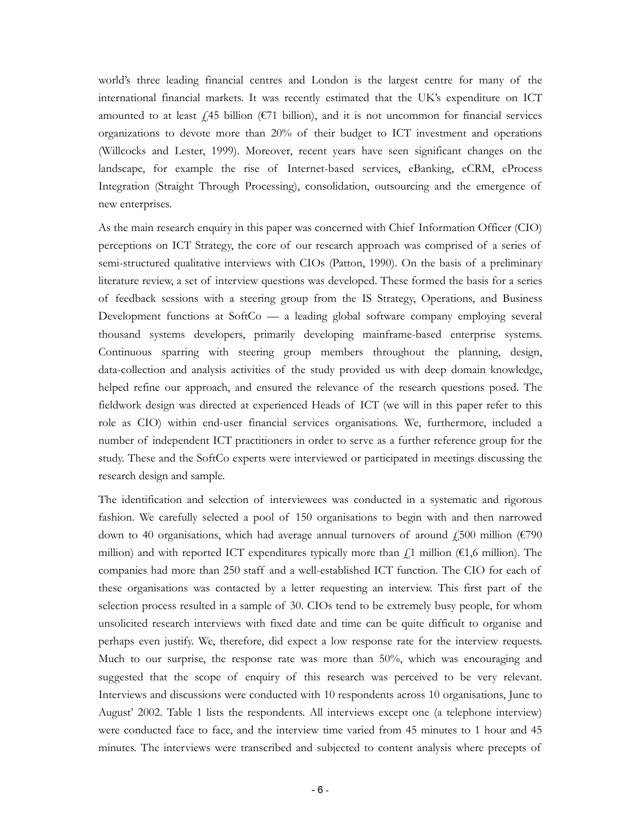world's three leading financial centres and London is the largest centre for many of the international financial markets. It was recently estimated that the UK's expenditure on ICT amounted to at least  $\hat{\ell}$  45 billion (€71 billion), and it is not uncommon for financial services organizations to devote more than 20% of their budget to ICT investment and operations (Willcocks and Lester, 1999). Moreover, recent years have seen significant changes on the landscape, for example the rise of Internet-based services, eBanking, eCRM, eProcess Integration (Straight Through Processing), consolidation, outsourcing and the emergence of new enterprises.

As the main research enquiry in this paper was concerned with Chief Information Officer (CIO) perceptions on ICT Strategy, the core of our research approach was comprised of a series of semi-structured qualitative interviews with CIOs (Patton, 1990). On the basis of a preliminary literature review, a set of interview questions was developed. These formed the basis for a series of feedback sessions with a steering group from the IS Strategy, Operations, and Business Development functions at SoftCo — a leading global software company employing several thousand systems developers, primarily developing mainframe-based enterprise systems. Continuous sparring with steering group members throughout the planning, design, data-collection and analysis activities of the study provided us with deep domain knowledge, helped refine our approach, and ensured the relevance of the research questions posed. The fieldwork design was directed at experienced Heads of ICT (we will in this paper refer to this role as CIO) within end-user financial services organisations. We, furthermore, included a number of independent ICT practitioners in order to serve as a further reference group for the study. These and the SoftCo experts were interviewed or participated in meetings discussing the research design and sample.

The identification and selection of interviewees was conducted in a systematic and rigorous fashion. We carefully selected a pool of 150 organisations to begin with and then narrowed down to 40 organisations, which had average annual turnovers of around  $\text{\textsterling}500$  million ( $\text{\textsterling}790$ ) million) and with reported ICT expenditures typically more than  $\ell$ 1 million (€1,6 million). The companies had more than 250 staff and a well-established ICT function. The CIO for each of these organisations was contacted by a letter requesting an interview. This first part of the selection process resulted in a sample of 30. CIOs tend to be extremely busy people, for whom unsolicited research interviews with fixed date and time can be quite difficult to organise and perhaps even justify. We, therefore, did expect a low response rate for the interview requests. Much to our surprise, the response rate was more than 50%, which was encouraging and suggested that the scope of enquiry of this research was perceived to be very relevant. Interviews and discussions were conducted with 10 respondents across 10 organisations, June to August' 2002. Table 1 lists the respondents. All interviews except one (a telephone interview) were conducted face to face, and the interview time varied from 45 minutes to 1 hour and 45 minutes. The interviews were transcribed and subjected to content analysis where precepts of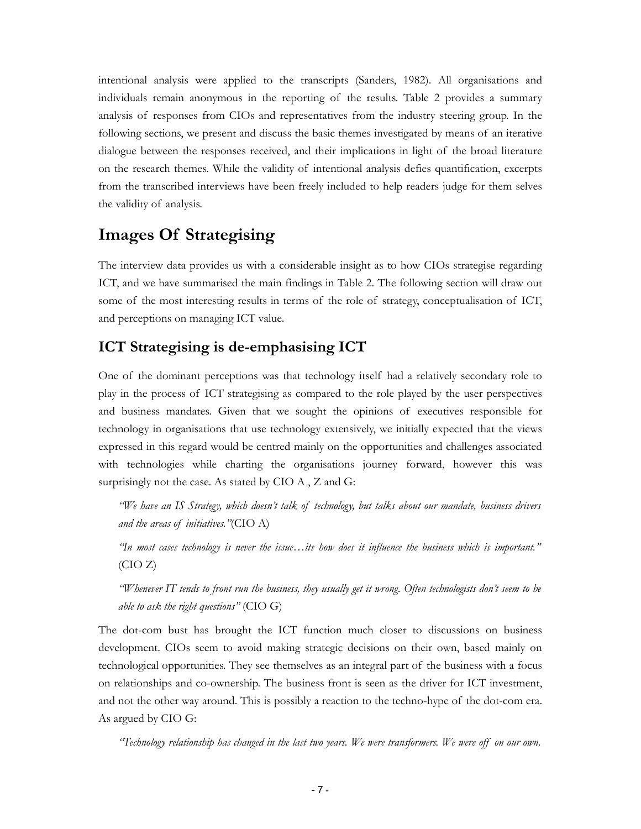intentional analysis were applied to the transcripts (Sanders, 1982). All organisations and individuals remain anonymous in the reporting of the results. Table 2 provides a summary analysis of responses from CIOs and representatives from the industry steering group. In the following sections, we present and discuss the basic themes investigated by means of an iterative dialogue between the responses received, and their implications in light of the broad literature on the research themes. While the validity of intentional analysis defies quantification, excerpts from the transcribed interviews have been freely included to help readers judge for them selves the validity of analysis.

### **Images Of Strategising**

The interview data provides us with a considerable insight as to how CIOs strategise regarding ICT, and we have summarised the main findings in Table 2. The following section will draw out some of the most interesting results in terms of the role of strategy, conceptualisation of ICT, and perceptions on managing ICT value.

#### **ICT Strategising is de-emphasising ICT**

One of the dominant perceptions was that technology itself had a relatively secondary role to play in the process of ICT strategising as compared to the role played by the user perspectives and business mandates. Given that we sought the opinions of executives responsible for technology in organisations that use technology extensively, we initially expected that the views expressed in this regard would be centred mainly on the opportunities and challenges associated with technologies while charting the organisations journey forward, however this was surprisingly not the case. As stated by CIO A , Z and G:

*"We have an IS Strategy, which doesn't talk of technology, but talks about our mandate, business drivers and the areas of initiatives."*(CIO A)

*"In most cases technology is never the issue…its how does it influence the business which is important."*  (CIO Z)

*"Whenever IT tends to front run the business, they usually get it wrong. Often technologists don't seem to be able to ask the right questions"* (CIO G)

The dot-com bust has brought the ICT function much closer to discussions on business development. CIOs seem to avoid making strategic decisions on their own, based mainly on technological opportunities. They see themselves as an integral part of the business with a focus on relationships and co-ownership. The business front is seen as the driver for ICT investment, and not the other way around. This is possibly a reaction to the techno-hype of the dot-com era. As argued by CIO G:

*"Technology relationship has changed in the last two years. We were transformers. We were off on our own.*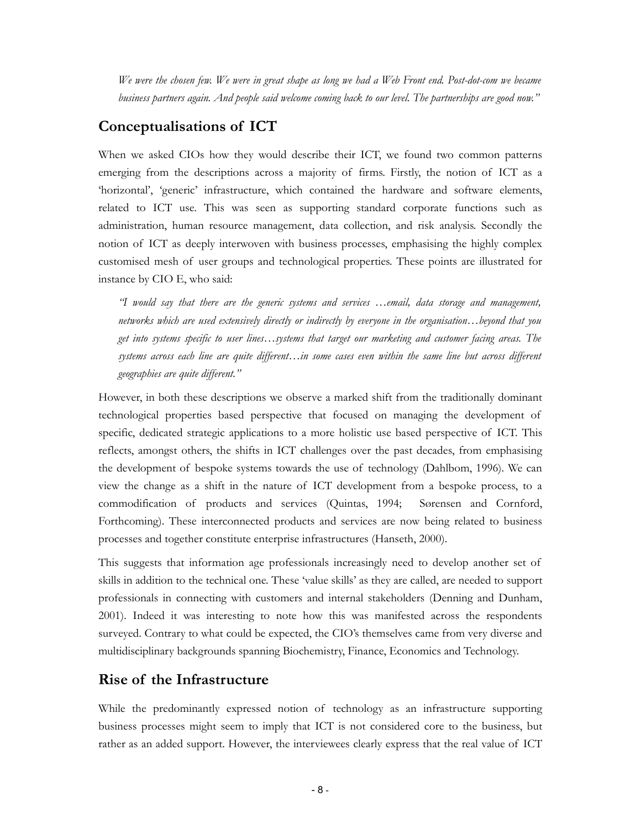*We were the chosen few. We were in great shape as long we had a Web Front end. Post-dot-com we became business partners again. And people said welcome coming back to our level. The partnerships are good now."* 

### **Conceptualisations of ICT**

When we asked CIOs how they would describe their ICT, we found two common patterns emerging from the descriptions across a majority of firms. Firstly, the notion of ICT as a 'horizontal', 'generic' infrastructure, which contained the hardware and software elements, related to ICT use. This was seen as supporting standard corporate functions such as administration, human resource management, data collection, and risk analysis. Secondly the notion of ICT as deeply interwoven with business processes, emphasising the highly complex customised mesh of user groups and technological properties. These points are illustrated for instance by CIO E, who said:

*"I would say that there are the generic systems and services …email, data storage and management, networks which are used extensively directly or indirectly by everyone in the organisation…beyond that you get into systems specific to user lines…systems that target our marketing and customer facing areas. The systems across each line are quite different…in some cases even within the same line but across different geographies are quite different."* 

However, in both these descriptions we observe a marked shift from the traditionally dominant technological properties based perspective that focused on managing the development of specific, dedicated strategic applications to a more holistic use based perspective of ICT. This reflects, amongst others, the shifts in ICT challenges over the past decades, from emphasising the development of bespoke systems towards the use of technology (Dahlbom, 1996). We can view the change as a shift in the nature of ICT development from a bespoke process, to a commodification of products and services (Quintas, 1994; Sørensen and Cornford, Forthcoming). These interconnected products and services are now being related to business processes and together constitute enterprise infrastructures (Hanseth, 2000).

This suggests that information age professionals increasingly need to develop another set of skills in addition to the technical one. These 'value skills' as they are called, are needed to support professionals in connecting with customers and internal stakeholders (Denning and Dunham, 2001). Indeed it was interesting to note how this was manifested across the respondents surveyed. Contrary to what could be expected, the CIO's themselves came from very diverse and multidisciplinary backgrounds spanning Biochemistry, Finance, Economics and Technology.

### **Rise of the Infrastructure**

While the predominantly expressed notion of technology as an infrastructure supporting business processes might seem to imply that ICT is not considered core to the business, but rather as an added support. However, the interviewees clearly express that the real value of ICT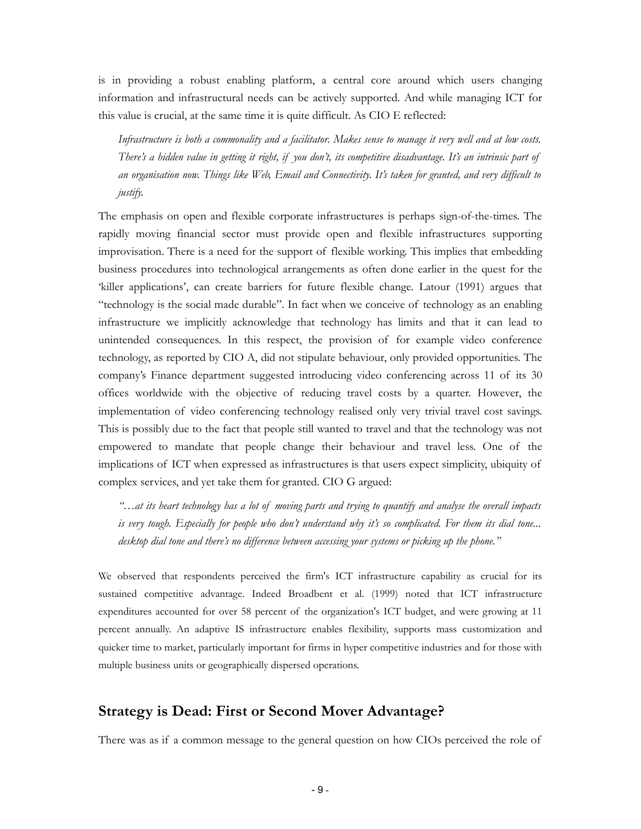is in providing a robust enabling platform, a central core around which users changing information and infrastructural needs can be actively supported. And while managing ICT for this value is crucial, at the same time it is quite difficult. As CIO E reflected:

*Infrastructure is both a commonality and a facilitator. Makes sense to manage it very well and at low costs. There's a hidden value in getting it right, if you don't, its competitive disadvantage. It's an intrinsic part of an organisation now. Things like Web, Email and Connectivity. It's taken for granted, and very difficult to justify.* 

The emphasis on open and flexible corporate infrastructures is perhaps sign-of-the-times. The rapidly moving financial sector must provide open and flexible infrastructures supporting improvisation. There is a need for the support of flexible working. This implies that embedding business procedures into technological arrangements as often done earlier in the quest for the 'killer applications', can create barriers for future flexible change. Latour (1991) argues that "technology is the social made durable". In fact when we conceive of technology as an enabling infrastructure we implicitly acknowledge that technology has limits and that it can lead to unintended consequences. In this respect, the provision of for example video conference technology, as reported by CIO A, did not stipulate behaviour, only provided opportunities. The company's Finance department suggested introducing video conferencing across 11 of its 30 offices worldwide with the objective of reducing travel costs by a quarter. However, the implementation of video conferencing technology realised only very trivial travel cost savings. This is possibly due to the fact that people still wanted to travel and that the technology was not empowered to mandate that people change their behaviour and travel less. One of the implications of ICT when expressed as infrastructures is that users expect simplicity, ubiquity of complex services, and yet take them for granted. CIO G argued:

*"…at its heart technology has a lot of moving parts and trying to quantify and analyse the overall impacts is very tough. Especially for people who don't understand why it's so complicated. For them its dial tone... desktop dial tone and there's no difference between accessing your systems or picking up the phone."* 

We observed that respondents perceived the firm's ICT infrastructure capability as crucial for its sustained competitive advantage. Indeed Broadbent et al. (1999) noted that ICT infrastructure expenditures accounted for over 58 percent of the organization's ICT budget, and were growing at 11 percent annually. An adaptive IS infrastructure enables flexibility, supports mass customization and quicker time to market, particularly important for firms in hyper competitive industries and for those with multiple business units or geographically dispersed operations.

#### **Strategy is Dead: First or Second Mover Advantage?**

There was as if a common message to the general question on how CIOs perceived the role of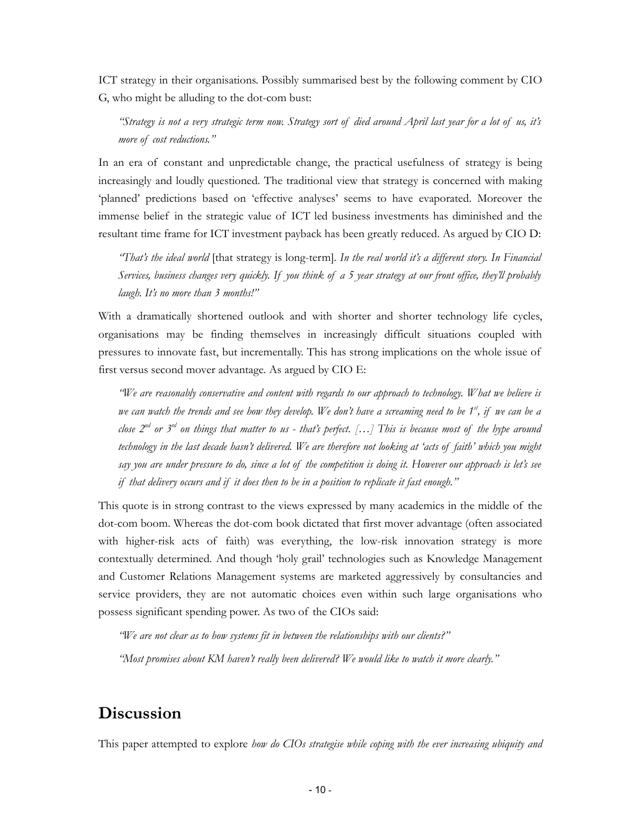ICT strategy in their organisations. Possibly summarised best by the following comment by CIO G, who might be alluding to the dot-com bust:

*"Strategy is not a very strategic term now. Strategy sort of died around April last year for a lot of us, it's more of cost reductions."* 

In an era of constant and unpredictable change, the practical usefulness of strategy is being increasingly and loudly questioned. The traditional view that strategy is concerned with making 'planned' predictions based on 'effective analyses' seems to have evaporated. Moreover the immense belief in the strategic value of ICT led business investments has diminished and the resultant time frame for ICT investment payback has been greatly reduced. As argued by CIO D:

*"That's the ideal world* [that strategy is long-term]*. In the real world it's a different story. In Financial Services, business changes very quickly. If you think of a 5 year strategy at our front office, they'll probably laugh. It's no more than 3 months!"* 

With a dramatically shortened outlook and with shorter and shorter technology life cycles, organisations may be finding themselves in increasingly difficult situations coupled with pressures to innovate fast, but incrementally. This has strong implications on the whole issue of first versus second mover advantage. As argued by CIO E:

*"We are reasonably conservative and content with regards to our approach to technology. What we believe is we can watch the trends and see how they develop. We don't have a screaming need to be 1<sup>st</sup>, if we can be a close 2nd or 3rd on things that matter to us - that's perfect. […] This is because most of the hype around technology in the last decade hasn't delivered. We are therefore not looking at 'acts of faith' which you might say you are under pressure to do, since a lot of the competition is doing it. However our approach is let's see if that delivery occurs and if it does then to be in a position to replicate it fast enough."* 

This quote is in strong contrast to the views expressed by many academics in the middle of the dot-com boom. Whereas the dot-com book dictated that first mover advantage (often associated with higher-risk acts of faith) was everything, the low-risk innovation strategy is more contextually determined. And though 'holy grail' technologies such as Knowledge Management and Customer Relations Management systems are marketed aggressively by consultancies and service providers, they are not automatic choices even within such large organisations who possess significant spending power. As two of the CIOs said:

*"We are not clear as to how systems fit in between the relationships with our clients?"* 

*"Most promises about KM haven't really been delivered? We would like to watch it more clearly."* 

### **Discussion**

This paper attempted to explore *how do CIOs strategise while coping with the ever increasing ubiquity and*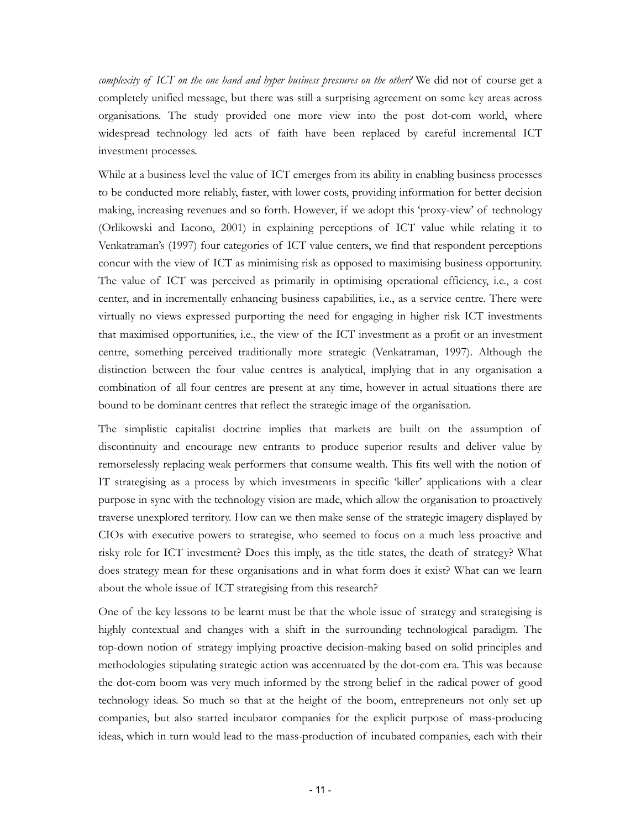*complexity of ICT on the one hand and hyper business pressures on the other?* We did not of course get a completely unified message, but there was still a surprising agreement on some key areas across organisations. The study provided one more view into the post dot-com world, where widespread technology led acts of faith have been replaced by careful incremental ICT investment processes.

While at a business level the value of ICT emerges from its ability in enabling business processes to be conducted more reliably, faster, with lower costs, providing information for better decision making, increasing revenues and so forth. However, if we adopt this 'proxy-view' of technology (Orlikowski and Iacono, 2001) in explaining perceptions of ICT value while relating it to Venkatraman's (1997) four categories of ICT value centers, we find that respondent perceptions concur with the view of ICT as minimising risk as opposed to maximising business opportunity. The value of ICT was perceived as primarily in optimising operational efficiency, i.e., a cost center, and in incrementally enhancing business capabilities, i.e., as a service centre. There were virtually no views expressed purporting the need for engaging in higher risk ICT investments that maximised opportunities, i.e., the view of the ICT investment as a profit or an investment centre, something perceived traditionally more strategic (Venkatraman, 1997). Although the distinction between the four value centres is analytical, implying that in any organisation a combination of all four centres are present at any time, however in actual situations there are bound to be dominant centres that reflect the strategic image of the organisation.

The simplistic capitalist doctrine implies that markets are built on the assumption of discontinuity and encourage new entrants to produce superior results and deliver value by remorselessly replacing weak performers that consume wealth. This fits well with the notion of IT strategising as a process by which investments in specific 'killer' applications with a clear purpose in sync with the technology vision are made, which allow the organisation to proactively traverse unexplored territory. How can we then make sense of the strategic imagery displayed by CIOs with executive powers to strategise, who seemed to focus on a much less proactive and risky role for ICT investment? Does this imply, as the title states, the death of strategy? What does strategy mean for these organisations and in what form does it exist? What can we learn about the whole issue of ICT strategising from this research?

One of the key lessons to be learnt must be that the whole issue of strategy and strategising is highly contextual and changes with a shift in the surrounding technological paradigm. The top-down notion of strategy implying proactive decision-making based on solid principles and methodologies stipulating strategic action was accentuated by the dot-com era. This was because the dot-com boom was very much informed by the strong belief in the radical power of good technology ideas. So much so that at the height of the boom, entrepreneurs not only set up companies, but also started incubator companies for the explicit purpose of mass-producing ideas, which in turn would lead to the mass-production of incubated companies, each with their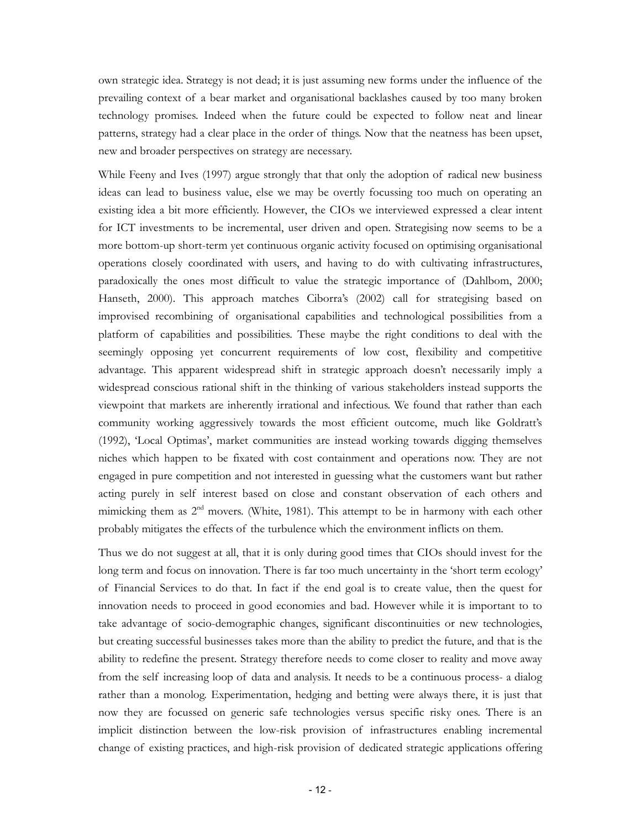own strategic idea. Strategy is not dead; it is just assuming new forms under the influence of the prevailing context of a bear market and organisational backlashes caused by too many broken technology promises. Indeed when the future could be expected to follow neat and linear patterns, strategy had a clear place in the order of things. Now that the neatness has been upset, new and broader perspectives on strategy are necessary.

While Feeny and Ives (1997) argue strongly that that only the adoption of radical new business ideas can lead to business value, else we may be overtly focussing too much on operating an existing idea a bit more efficiently. However, the CIOs we interviewed expressed a clear intent for ICT investments to be incremental, user driven and open. Strategising now seems to be a more bottom-up short-term yet continuous organic activity focused on optimising organisational operations closely coordinated with users, and having to do with cultivating infrastructures, paradoxically the ones most difficult to value the strategic importance of (Dahlbom, 2000; Hanseth, 2000). This approach matches Ciborra's (2002) call for strategising based on improvised recombining of organisational capabilities and technological possibilities from a platform of capabilities and possibilities. These maybe the right conditions to deal with the seemingly opposing yet concurrent requirements of low cost, flexibility and competitive advantage. This apparent widespread shift in strategic approach doesn't necessarily imply a widespread conscious rational shift in the thinking of various stakeholders instead supports the viewpoint that markets are inherently irrational and infectious. We found that rather than each community working aggressively towards the most efficient outcome, much like Goldratt's (1992), 'Local Optimas', market communities are instead working towards digging themselves niches which happen to be fixated with cost containment and operations now. They are not engaged in pure competition and not interested in guessing what the customers want but rather acting purely in self interest based on close and constant observation of each others and mimicking them as  $2<sup>nd</sup>$  movers. (White, 1981). This attempt to be in harmony with each other probably mitigates the effects of the turbulence which the environment inflicts on them.

Thus we do not suggest at all, that it is only during good times that CIOs should invest for the long term and focus on innovation. There is far too much uncertainty in the 'short term ecology' of Financial Services to do that. In fact if the end goal is to create value, then the quest for innovation needs to proceed in good economies and bad. However while it is important to to take advantage of socio-demographic changes, significant discontinuities or new technologies, but creating successful businesses takes more than the ability to predict the future, and that is the ability to redefine the present. Strategy therefore needs to come closer to reality and move away from the self increasing loop of data and analysis. It needs to be a continuous process- a dialog rather than a monolog. Experimentation, hedging and betting were always there, it is just that now they are focussed on generic safe technologies versus specific risky ones. There is an implicit distinction between the low-risk provision of infrastructures enabling incremental change of existing practices, and high-risk provision of dedicated strategic applications offering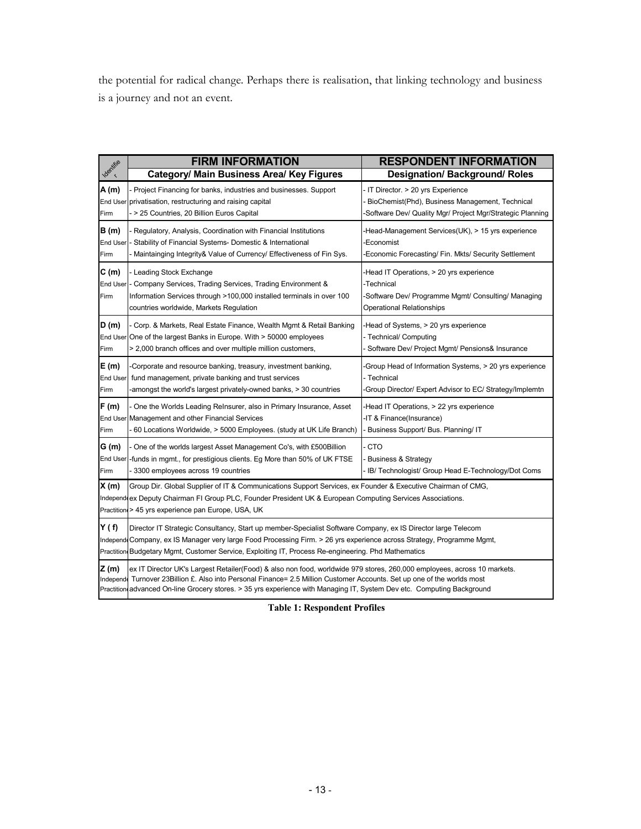the potential for radical change. Perhaps there is realisation, that linking technology and business is a journey and not an event.

|                           | <b>FIRM INFORMATION</b>                                                                                                                                                                                                                                                                                                                                              | <b>RESPONDENT INFORMATION</b>                                                                                                                    |  |
|---------------------------|----------------------------------------------------------------------------------------------------------------------------------------------------------------------------------------------------------------------------------------------------------------------------------------------------------------------------------------------------------------------|--------------------------------------------------------------------------------------------------------------------------------------------------|--|
| Identifie                 | <b>Category/ Main Business Area/ Key Figures</b>                                                                                                                                                                                                                                                                                                                     | <b>Designation/ Background/ Roles</b>                                                                                                            |  |
| A(m)<br>Firm              | Project Financing for banks, industries and businesses. Support<br>End User privatisation, restructuring and raising capital<br>- > 25 Countries, 20 Billion Euros Capital                                                                                                                                                                                           | IT Director. > 20 yrs Experience<br>BioChemist(Phd), Business Management, Technical<br>Software Dev/ Quality Mgr/ Project Mgr/Strategic Planning |  |
| <b>B</b> (m)<br>Firm      | Regulatory, Analysis, Coordination with Financial Institutions<br>End User - Stability of Financial Systems- Domestic & International<br>Maintainging Integrity & Value of Currency/ Effectiveness of Fin Sys.                                                                                                                                                       | Head-Management Services(UK), > 15 yrs experience<br>Economist<br>Economic Forecasting/ Fin. Mkts/ Security Settlement                           |  |
| C(m)<br>Firm              | Leading Stock Exchange<br>End User - Company Services, Trading Services, Trading Environment &<br>Information Services through >100,000 installed terminals in over 100<br>countries worldwide, Markets Regulation                                                                                                                                                   | -Head IT Operations, > 20 yrs experience<br>-Technical<br>-Software Dev/ Programme Mgmt/ Consulting/ Managing<br>Operational Relationships       |  |
| D(m)<br>Firm              | Corp. & Markets, Real Estate Finance, Wealth Mgmt & Retail Banking<br>End User One of the largest Banks in Europe. With > 50000 employees<br>> 2,000 branch offices and over multiple million customers,                                                                                                                                                             | Head of Systems, > 20 yrs experience<br>- Technical/ Computing<br>Software Dev/ Project Mgmt/ Pensions& Insurance                                |  |
| E (m)<br>End User<br>Firm | -Corporate and resource banking, treasury, investment banking,<br>fund management, private banking and trust services<br>-amongst the world's largest privately-owned banks, > 30 countries                                                                                                                                                                          | Group Head of Information Systems, > 20 yrs experience<br>- Technical<br>Group Director/ Expert Advisor to EC/ Strategy/Implemtn                 |  |
| F(m)<br>Firm              | One the Worlds Leading Relnsurer, also in Primary Insurance, Asset<br>End User Management and other Financial Services<br>60 Locations Worldwide, > 5000 Employees. (study at UK Life Branch)                                                                                                                                                                        | -Head IT Operations, > 22 yrs experience<br>-IT & Finance(Insurance)<br>Business Support/ Bus. Planning/ IT                                      |  |
| G(m)<br>Firm              | One of the worlds largest Asset Management Co's, with £500 Billion<br>End User -funds in mgmt., for prestigious clients. Eg More than 50% of UK FTSE<br>3300 employees across 19 countries                                                                                                                                                                           | <b>CTO</b><br><b>Business &amp; Strategy</b><br>IB/ Technologist/ Group Head E-Technology/Dot Coms                                               |  |
| X(m)                      | Group Dir. Global Supplier of IT & Communications Support Services, ex Founder & Executive Chairman of CMG,<br>Independ ex Deputy Chairman FI Group PLC, Founder President UK & European Computing Services Associations.<br>Practition > 45 yrs experience pan Europe, USA, UK                                                                                      |                                                                                                                                                  |  |
| Y(f)                      | Director IT Strategic Consultancy, Start up member-Specialist Software Company, ex IS Director large Telecom<br>Independ Company, ex IS Manager very large Food Processing Firm. > 26 yrs experience across Strategy, Programme Mgmt,<br>Practition Budgetary Mgmt, Customer Service, Exploiting IT, Process Re-engineering. Phd Mathematics                         |                                                                                                                                                  |  |
| Z(m)<br>Independe         | ex IT Director UK's Largest Retailer(Food) & also non food, worldwide 979 stores, 260,000 employees, across 10 markets.<br>Turnover 23 Billion £. Also into Personal Finance= 2.5 Million Customer Accounts. Set up one of the worlds most<br>Practition advanced On-line Grocery stores. > 35 yrs experience with Managing IT, System Dev etc. Computing Background |                                                                                                                                                  |  |

**Table 1: Respondent Profiles**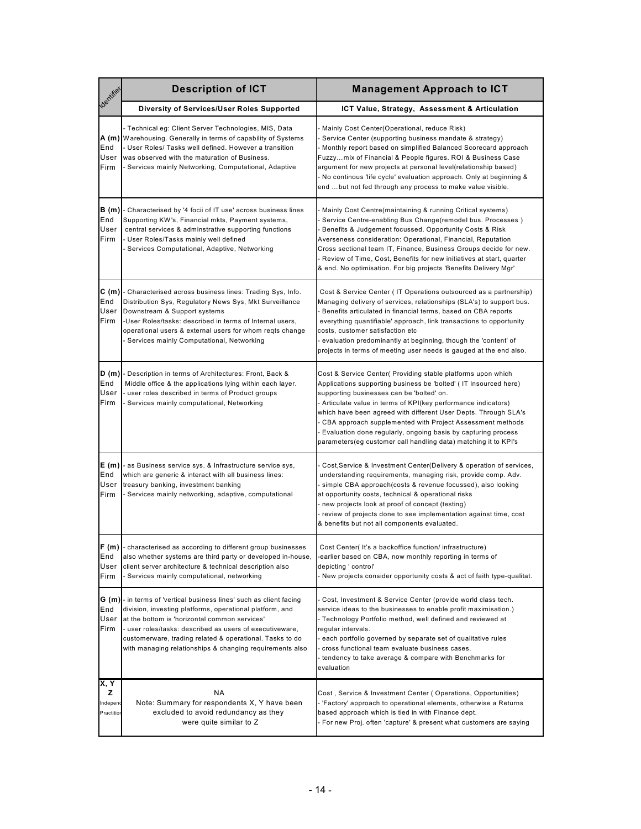| dentified                           | <b>Description of ICT</b>                                                                                                                                                                                                                                                                                                                                      | <b>Management Approach to ICT</b>                                                                                                                                                                                                                                                                                                                                                                                                                                                                                        |
|-------------------------------------|----------------------------------------------------------------------------------------------------------------------------------------------------------------------------------------------------------------------------------------------------------------------------------------------------------------------------------------------------------------|--------------------------------------------------------------------------------------------------------------------------------------------------------------------------------------------------------------------------------------------------------------------------------------------------------------------------------------------------------------------------------------------------------------------------------------------------------------------------------------------------------------------------|
|                                     | Diversity of Services/User Roles Supported                                                                                                                                                                                                                                                                                                                     | ICT Value, Strategy, Assessment & Articulation                                                                                                                                                                                                                                                                                                                                                                                                                                                                           |
| End<br>User<br>Firm                 | - Technical eg: Client Server Technologies, MIS, Data<br>A (m) Warehousing. Generally in terms of capability of Systems<br>User Roles/ Tasks well defined. However a transition<br>was observed with the maturation of Business.<br>Services mainly Networking, Computational, Adaptive                                                                        | Mainly Cost Center(Operational, reduce Risk)<br>Service Center (supporting business mandate & strategy)<br>- Monthly report based on simplified Balanced Scorecard approach<br>Fuzzymix of Financial & People figures. ROI & Business Case<br>argument for new projects at personal level(relationship based)<br>- No continous 'life cycle' evaluation approach. Only at beginning &<br>end  but not fed through any process to make value visible.                                                                     |
| <b>B</b> (m)<br>End<br>User<br>Firm | - Characterised by '4 focii of IT use' across business lines<br>Supporting KW's, Financial mkts, Payment systems,<br>central services & adminstrative supporting functions<br>User Roles/Tasks mainly well defined<br>- Services Computational, Adaptive, Networking                                                                                           | Mainly Cost Centre(maintaining & running Critical systems)<br>Service Centre-enabling Bus Change(remodel bus. Processes)<br>Benefits & Judgement focussed. Opportunity Costs & Risk<br>Averseness consideration: Operational, Financial, Reputation<br>Cross sectional team IT, Finance, Business Groups decide for new.<br>- Review of Time, Cost, Benefits for new initiatives at start, quarter<br>& end. No optimisation. For big projects 'Benefits Delivery Mgr'                                                   |
| C(m)<br>End<br>User<br>Firm         | - Characterised across business lines: Trading Sys, Info.<br>Distribution Sys, Regulatory News Sys, Mkt Surveillance<br>Downstream & Support systems<br>-User Roles/tasks: described in terms of Internal users,<br>operational users & external users for whom regts change<br>Services mainly Computational, Networking                                      | Cost & Service Center (IT Operations outsourced as a partnership)<br>Managing delivery of services, relationships (SLA's) to support bus.<br>- Benefits articulated in financial terms, based on CBA reports<br>everything quantifiable' approach, link transactions to opportunity<br>costs, customer satisfaction etc<br>- evaluation predominantly at beginning, though the 'content' of<br>projects in terms of meeting user needs is gauged at the end also.                                                        |
| D (m)<br>End<br>User<br>Firm        | Description in terms of Architectures: Front, Back &<br>Middle office & the applications lying within each layer.<br>user roles described in terms of Product groups<br>Services mainly computational, Networking                                                                                                                                              | Cost & Service Center( Providing stable platforms upon which<br>Applications supporting business be 'bolted' (IT Insourced here)<br>supporting businesses can be 'bolted' on.<br>- Articulate value in terms of KPI(key performance indicators)<br>which have been agreed with different User Depts. Through SLA's<br>- CBA approach supplemented with Project Assessment methods<br>- Evaluation done regularly, ongoing basis by capturing process<br>parameters (eg customer call handling data) matching it to KPI's |
| E (m)<br>End<br>User<br>Firm        | as Business service sys. & Infrastructure service sys,<br>which are generic & interact with all business lines:<br>treasury banking, investment banking<br>Services mainly networking, adaptive, computational                                                                                                                                                 | - Cost, Service & Investment Center (Delivery & operation of services,<br>understanding requirements, managing risk, provide comp. Adv.<br>- simple CBA approach(costs & revenue focussed), also looking<br>at opportunity costs, technical & operational risks<br>- new projects look at proof of concept (testing)<br>- review of projects done to see implementation against time, cost<br>& benefits but not all components evaluated.                                                                               |
| ի- (m)<br>End<br>User<br>Firm       | characterised as according to different group businesses<br>also whether systems are third party or developed in-house,<br>client server architecture & technical description also<br>Services mainly computational, networking                                                                                                                                | Cost Center(It's a backoffice function/infrastructure)<br>-earlier based on CBA, now monthly reporting in terms of<br>depicting ' control'<br>New projects consider opportunity costs & act of faith type-qualitat.                                                                                                                                                                                                                                                                                                      |
| G (m) <br>End<br>User<br>Firm       | - in terms of 'vertical business lines' such as client facing<br>division, investing platforms, operational platform, and<br>at the bottom is 'horizontal common services'<br>- user roles/tasks: described as users of executiveware,<br>customerware, trading related & operational. Tasks to do<br>with managing relationships & changing requirements also | - Cost, Investment & Service Center (provide world class tech.<br>service ideas to the businesses to enable profit maximisation.)<br>- Technology Portfolio method, well defined and reviewed at<br>regular intervals.<br>- each portfolio governed by separate set of qualitative rules<br>- cross functional team evaluate business cases.<br>- tendency to take average & compare with Benchmarks for<br>evaluation                                                                                                   |
| X, Y<br>z<br>Independ<br>Practitio  | ΝA<br>Note: Summary for respondents X, Y have been<br>excluded to avoid redundancy as they<br>were quite similar to Z                                                                                                                                                                                                                                          | Cost, Service & Investment Center (Operations, Opportunities)<br>- 'Factory' approach to operational elements, otherwise a Returns<br>based approach which is tied in with Finance dept.<br>- For new Proj. often 'capture' & present what customers are saying                                                                                                                                                                                                                                                          |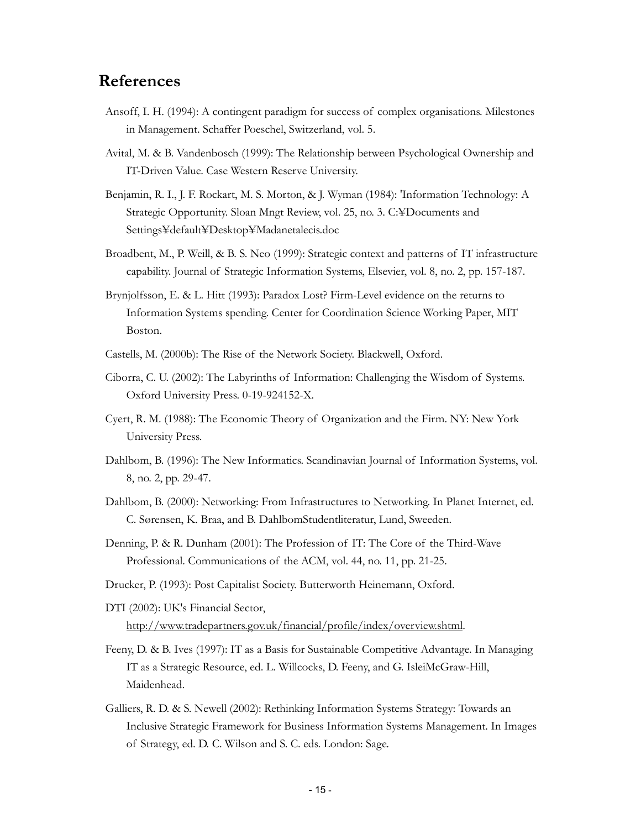### **References**

- Ansoff, I. H. (1994): A contingent paradigm for success of complex organisations. Milestones in Management. Schaffer Poeschel, Switzerland, vol. 5.
- Avital, M. & B. Vandenbosch (1999): The Relationship between Psychological Ownership and IT-Driven Value. Case Western Reserve University.
- Benjamin, R. I., J. F. Rockart, M. S. Morton, & J. Wyman (1984): 'Information Technology: A Strategic Opportunity. Sloan Mngt Review, vol. 25, no. 3. C:¥Documents and Settings¥default¥Desktop¥Madanetalecis.doc
- Broadbent, M., P. Weill, & B. S. Neo (1999): Strategic context and patterns of IT infrastructure capability. Journal of Strategic Information Systems, Elsevier, vol. 8, no. 2, pp. 157-187.
- Brynjolfsson, E. & L. Hitt (1993): Paradox Lost? Firm-Level evidence on the returns to Information Systems spending. Center for Coordination Science Working Paper, MIT Boston.
- Castells, M. (2000b): The Rise of the Network Society. Blackwell, Oxford.
- Ciborra, C. U. (2002): The Labyrinths of Information: Challenging the Wisdom of Systems. Oxford University Press. 0-19-924152-X.
- Cyert, R. M. (1988): The Economic Theory of Organization and the Firm. NY: New York University Press.
- Dahlbom, B. (1996): The New Informatics. Scandinavian Journal of Information Systems, vol. 8, no. 2, pp. 29-47.
- Dahlbom, B. (2000): Networking: From Infrastructures to Networking. In Planet Internet, ed. C. Sørensen, K. Braa, and B. DahlbomStudentliteratur, Lund, Sweeden.
- Denning, P. & R. Dunham (2001): The Profession of IT: The Core of the Third-Wave Professional. Communications of the ACM, vol. 44, no. 11, pp. 21-25.
- Drucker, P. (1993): Post Capitalist Society. Butterworth Heinemann, Oxford.

DTI (2002): UK's Financial Sector, http://www.tradepartners.gov.uk/financial/profile/index/overview.shtml.

- Feeny, D. & B. Ives (1997): IT as a Basis for Sustainable Competitive Advantage. In Managing IT as a Strategic Resource, ed. L. Willcocks, D. Feeny, and G. IsleiMcGraw-Hill, Maidenhead.
- Galliers, R. D. & S. Newell (2002): Rethinking Information Systems Strategy: Towards an Inclusive Strategic Framework for Business Information Systems Management. In Images of Strategy, ed. D. C. Wilson and S. C. eds. London: Sage.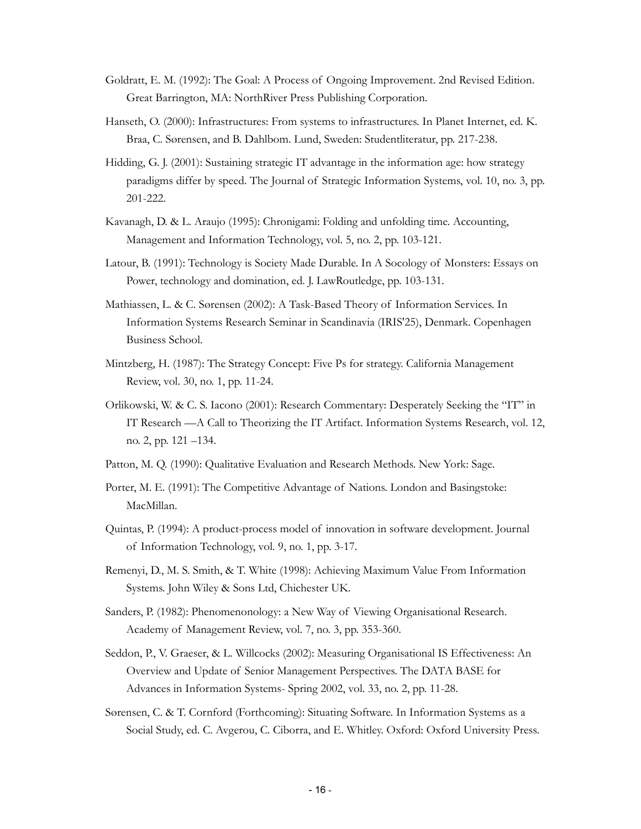- Goldratt, E. M. (1992): The Goal: A Process of Ongoing Improvement. 2nd Revised Edition. Great Barrington, MA: NorthRiver Press Publishing Corporation.
- Hanseth, O. (2000): Infrastructures: From systems to infrastructures. In Planet Internet, ed. K. Braa, C. Sørensen, and B. Dahlbom. Lund, Sweden: Studentliteratur, pp. 217-238.
- Hidding, G. J. (2001): Sustaining strategic IT advantage in the information age: how strategy paradigms differ by speed. The Journal of Strategic Information Systems, vol. 10, no. 3, pp. 201-222.
- Kavanagh, D. & L. Araujo (1995): Chronigami: Folding and unfolding time. Accounting, Management and Information Technology, vol. 5, no. 2, pp. 103-121.
- Latour, B. (1991): Technology is Society Made Durable. In A Socology of Monsters: Essays on Power, technology and domination, ed. J. LawRoutledge, pp. 103-131.
- Mathiassen, L. & C. Sørensen (2002): A Task-Based Theory of Information Services. In Information Systems Research Seminar in Scandinavia (IRIS'25), Denmark. Copenhagen Business School.
- Mintzberg, H. (1987): The Strategy Concept: Five Ps for strategy. California Management Review, vol. 30, no. 1, pp. 11-24.
- Orlikowski, W. & C. S. Iacono (2001): Research Commentary: Desperately Seeking the "IT" in IT Research —A Call to Theorizing the IT Artifact. Information Systems Research, vol. 12, no. 2, pp. 121 –134.
- Patton, M. Q. (1990): Qualitative Evaluation and Research Methods. New York: Sage.
- Porter, M. E. (1991): The Competitive Advantage of Nations. London and Basingstoke: MacMillan.
- Quintas, P. (1994): A product-process model of innovation in software development. Journal of Information Technology, vol. 9, no. 1, pp. 3-17.
- Remenyi, D., M. S. Smith, & T. White (1998): Achieving Maximum Value From Information Systems. John Wiley & Sons Ltd, Chichester UK.
- Sanders, P. (1982): Phenomenonology: a New Way of Viewing Organisational Research. Academy of Management Review, vol. 7, no. 3, pp. 353-360.
- Seddon, P., V. Graeser, & L. Willcocks (2002): Measuring Organisational IS Effectiveness: An Overview and Update of Senior Management Perspectives. The DATA BASE for Advances in Information Systems- Spring 2002, vol. 33, no. 2, pp. 11-28.
- Sørensen, C. & T. Cornford (Forthcoming): Situating Software. In Information Systems as a Social Study, ed. C. Avgerou, C. Ciborra, and E. Whitley. Oxford: Oxford University Press.